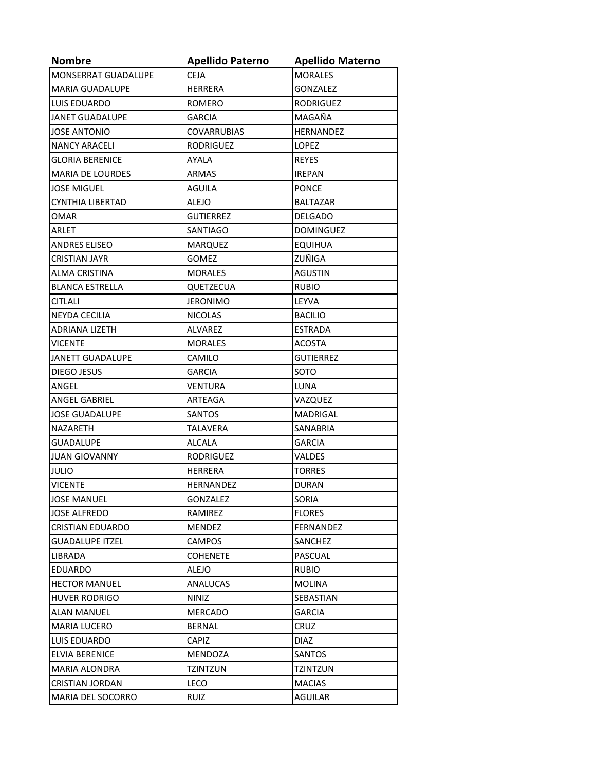| <b>Nombre</b>           | <b>Apellido Paterno</b> | <b>Apellido Materno</b> |
|-------------------------|-------------------------|-------------------------|
| MONSERRAT GUADALUPE     | <b>CEJA</b>             | <b>MORALES</b>          |
| <b>MARIA GUADALUPE</b>  | <b>HERRERA</b>          | <b>GONZALEZ</b>         |
| <b>LUIS EDUARDO</b>     | <b>ROMERO</b>           | <b>RODRIGUEZ</b>        |
| <b>JANET GUADALUPE</b>  | GARCIA                  | MAGAÑA                  |
| <b>JOSE ANTONIO</b>     | <b>COVARRUBIAS</b>      | HERNANDEZ               |
| <b>NANCY ARACELI</b>    | <b>RODRIGUEZ</b>        | <b>LOPEZ</b>            |
| <b>GLORIA BERENICE</b>  | <b>AYALA</b>            | <b>REYES</b>            |
| <b>MARIA DE LOURDES</b> | <b>ARMAS</b>            | <b>IREPAN</b>           |
| <b>JOSE MIGUEL</b>      | <b>AGUILA</b>           | <b>PONCE</b>            |
| <b>CYNTHIA LIBERTAD</b> | <b>ALEJO</b>            | <b>BALTAZAR</b>         |
| OMAR                    | <b>GUTIERREZ</b>        | <b>DELGADO</b>          |
| ARLET                   | <b>SANTIAGO</b>         | <b>DOMINGUEZ</b>        |
| <b>ANDRES ELISEO</b>    | <b>MARQUEZ</b>          | <b>EQUIHUA</b>          |
| <b>CRISTIAN JAYR</b>    | <b>GOMEZ</b>            | ZUÑIGA                  |
| <b>ALMA CRISTINA</b>    | <b>MORALES</b>          | <b>AGUSTIN</b>          |
| <b>BLANCA ESTRELLA</b>  | QUETZECUA               | <b>RUBIO</b>            |
| <b>CITLALI</b>          | <b>JERONIMO</b>         | LEYVA                   |
| <b>NEYDA CECILIA</b>    | <b>NICOLAS</b>          | <b>BACILIO</b>          |
| <b>ADRIANA LIZETH</b>   | ALVAREZ                 | <b>ESTRADA</b>          |
| <b>VICENTE</b>          | <b>MORALES</b>          | <b>ACOSTA</b>           |
| <b>JANETT GUADALUPE</b> | CAMILO                  | <b>GUTIERREZ</b>        |
| <b>DIEGO JESUS</b>      | <b>GARCIA</b>           | SOTO                    |
| ANGEL                   | <b>VENTURA</b>          | LUNA                    |
| ANGEL GABRIEL           | ARTEAGA                 | VAZQUEZ                 |
| <b>JOSE GUADALUPE</b>   | <b>SANTOS</b>           | <b>MADRIGAL</b>         |
| <b>NAZARETH</b>         | TALAVERA                | SANABRIA                |
| <b>GUADALUPE</b>        | <b>ALCALA</b>           | <b>GARCIA</b>           |
| <b>JUAN GIOVANNY</b>    | <b>RODRIGUEZ</b>        | VALDES                  |
| <b>JULIO</b>            | <b>HERRERA</b>          | <b>TORRES</b>           |
| <b>VICENTE</b>          | <b>HERNANDEZ</b>        | <b>DURAN</b>            |
| <b>JOSE MANUEL</b>      | GONZALEZ                | SORIA                   |
| <b>JOSE ALFREDO</b>     | RAMIREZ                 | <b>FLORES</b>           |
| <b>CRISTIAN EDUARDO</b> | MENDEZ                  | FERNANDEZ               |
| <b>GUADALUPE ITZEL</b>  | <b>CAMPOS</b>           | SANCHEZ                 |
| LIBRADA                 | <b>COHENETE</b>         | PASCUAL                 |
| <b>EDUARDO</b>          | <b>ALEJO</b>            | <b>RUBIO</b>            |
| <b>HECTOR MANUEL</b>    | ANALUCAS                | <b>MOLINA</b>           |
| <b>HUVER RODRIGO</b>    | NINIZ                   | SEBASTIAN               |
| <b>ALAN MANUEL</b>      | <b>MERCADO</b>          | <b>GARCIA</b>           |
| <b>MARIA LUCERO</b>     | <b>BERNAL</b>           | CRUZ                    |
| LUIS EDUARDO            | CAPIZ                   | <b>DIAZ</b>             |
| ELVIA BERENICE          | MENDOZA                 | <b>SANTOS</b>           |
| MARIA ALONDRA           | TZINTZUN                | <b>TZINTZUN</b>         |
| <b>CRISTIAN JORDAN</b>  | <b>LECO</b>             | <b>MACIAS</b>           |
| MARIA DEL SOCORRO       | <b>RUIZ</b>             | AGUILAR                 |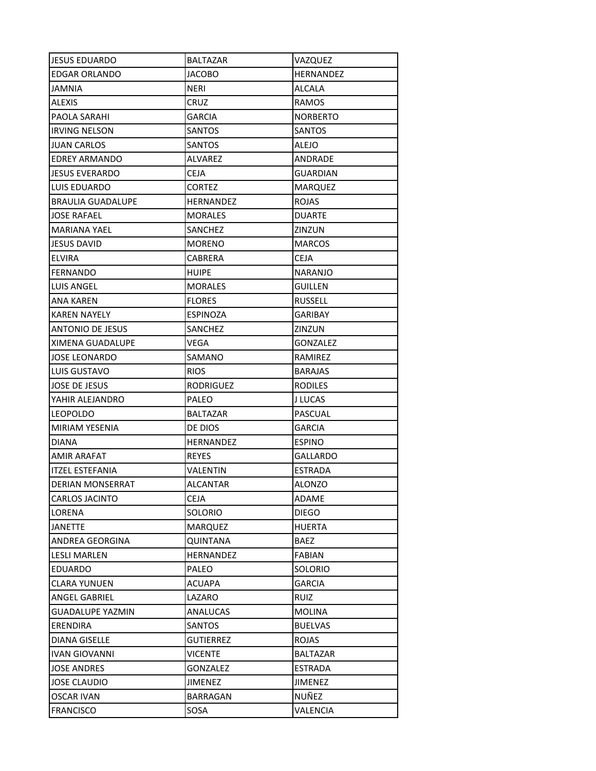| <b>JESUS EDUARDO</b>     | BALTAZAR         | VAZQUEZ         |
|--------------------------|------------------|-----------------|
| <b>EDGAR ORLANDO</b>     | JACOBO           | HERNANDEZ       |
| JAMNIA                   | NERI             | ALCALA          |
| <b>ALEXIS</b>            | <b>CRUZ</b>      | <b>RAMOS</b>    |
| PAOLA SARAHI             | <b>GARCIA</b>    | <b>NORBERTO</b> |
| <b>IRVING NELSON</b>     | SANTOS           | SANTOS          |
| JUAN CARLOS              | SANTOS           | ALEJO           |
| <b>EDREY ARMANDO</b>     | <b>ALVAREZ</b>   | ANDRADE         |
| <b>JESUS EVERARDO</b>    | <b>CEJA</b>      | <b>GUARDIAN</b> |
| LUIS EDUARDO             | <b>CORTEZ</b>    | <b>MARQUEZ</b>  |
| <b>BRAULIA GUADALUPE</b> | <b>HERNANDEZ</b> | <b>ROJAS</b>    |
| <b>JOSE RAFAEL</b>       | MORALES          | <b>DUARTE</b>   |
| MARIANA YAEL             | SANCHEZ          | ZINZUN          |
| <b>JESUS DAVID</b>       | <b>MORENO</b>    | <b>MARCOS</b>   |
| ELVIRA                   | CABRERA          | CEJA            |
| <b>FERNANDO</b>          | <b>HUIPE</b>     | <b>NARANJO</b>  |
| LUIS ANGEL               | <b>MORALES</b>   | <b>GUILLEN</b>  |
| ANA KAREN                | <b>FLORES</b>    | <b>RUSSELL</b>  |
| <b>KAREN NAYELY</b>      | <b>ESPINOZA</b>  | <b>GARIBAY</b>  |
| ANTONIO DE JESUS         | SANCHEZ          | ZINZUN          |
| XIMENA GUADALUPE         | VEGA             | GONZALEZ        |
| <b>JOSE LEONARDO</b>     | SAMANO           | RAMIREZ         |
| LUIS GUSTAVO             | <b>RIOS</b>      | <b>BARAJAS</b>  |
| <b>JOSE DE JESUS</b>     | <b>RODRIGUEZ</b> | <b>RODILES</b>  |
| YAHIR ALEJANDRO          | PALEO            | J LUCAS         |
| <b>LEOPOLDO</b>          | <b>BALTAZAR</b>  | PASCUAL         |
| <b>MIRIAM YESENIA</b>    | DE DIOS          | GARCIA          |
| <b>DIANA</b>             | HERNANDEZ        | <b>ESPINO</b>   |
| <b>AMIR ARAFAT</b>       | <b>REYES</b>     | <b>GALLARDO</b> |
| <b>ITZEL ESTEFANIA</b>   | VALENTIN         | <b>ESTRADA</b>  |
| <b>DERIAN MONSERRAT</b>  | ALCANTAR         | <b>ALONZO</b>   |
| <b>CARLOS JACINTO</b>    | <b>CEJA</b>      | ADAME           |
| LORENA                   | SOLORIO          | <b>DIEGO</b>    |
| <b>JANETTE</b>           | <b>MARQUEZ</b>   | <b>HUERTA</b>   |
| ANDREA GEORGINA          | <b>QUINTANA</b>  | <b>BAEZ</b>     |
| <b>LESLI MARLEN</b>      | HERNANDEZ        | <b>FABIAN</b>   |
| <b>EDUARDO</b>           | PALEO            | <b>SOLORIO</b>  |
| <b>CLARA YUNUEN</b>      | <b>ACUAPA</b>    | <b>GARCIA</b>   |
| ANGEL GABRIEL            | LAZARO           | <b>RUIZ</b>     |
| <b>GUADALUPE YAZMIN</b>  | <b>ANALUCAS</b>  | <b>MOLINA</b>   |
| ERENDIRA                 | <b>SANTOS</b>    | <b>BUELVAS</b>  |
| <b>DIANA GISELLE</b>     | <b>GUTIERREZ</b> | <b>ROJAS</b>    |
| <b>IVAN GIOVANNI</b>     | <b>VICENTE</b>   | <b>BALTAZAR</b> |
| <b>JOSE ANDRES</b>       | <b>GONZALEZ</b>  | <b>ESTRADA</b>  |
| <b>JOSE CLAUDIO</b>      | <b>JIMENEZ</b>   | <b>JIMENEZ</b>  |
| <b>OSCAR IVAN</b>        | BARRAGAN         | NUÑEZ           |
| <b>FRANCISCO</b>         | SOSA             | VALENCIA        |